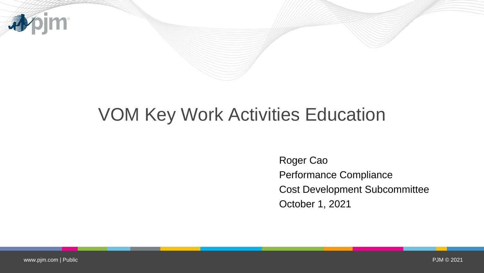

## VOM Key Work Activities Education

Roger Cao Performance Compliance Cost Development Subcommittee October 1, 2021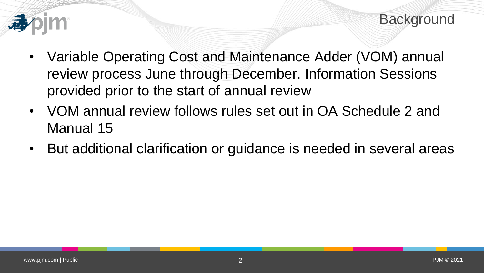

- Variable Operating Cost and Maintenance Adder (VOM) annual review process June through December. Information Sessions provided prior to the start of annual review
- VOM annual review follows rules set out in OA Schedule 2 and Manual 15
- But additional clarification or guidance is needed in several areas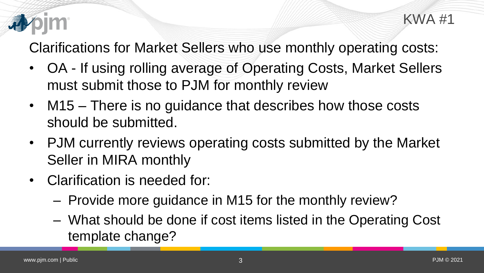

Clarifications for Market Sellers who use monthly operating costs:

- OA If using rolling average of Operating Costs, Market Sellers must submit those to PJM for monthly review
- M15 There is no guidance that describes how those costs should be submitted.
- PJM currently reviews operating costs submitted by the Market Seller in MIRA monthly
- Clarification is needed for:
	- Provide more guidance in M15 for the monthly review?
	- What should be done if cost items listed in the Operating Cost template change?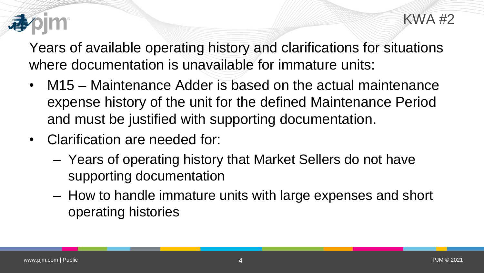

Years of available operating history and clarifications for situations where documentation is unavailable for immature units:

- M15 Maintenance Adder is based on the actual maintenance expense history of the unit for the defined Maintenance Period and must be justified with supporting documentation.
- Clarification are needed for:
	- Years of operating history that Market Sellers do not have supporting documentation
	- How to handle immature units with large expenses and short operating histories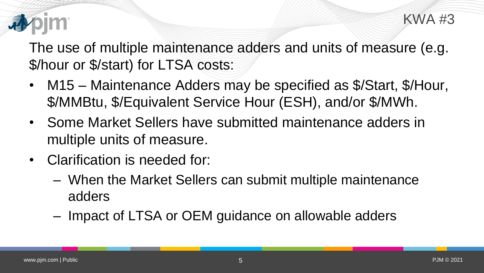

The use of multiple maintenance adders and units of measure (e.g. \$/hour or \$/start) for LTSA costs:

- M15 Maintenance Adders may be specified as \$/Start, \$/Hour, \$/MMBtu, \$/Equivalent Service Hour (ESH), and/or \$/MWh.
- Some Market Sellers have submitted maintenance adders in multiple units of measure.
- Clarification is needed for:
	- When the Market Sellers can submit multiple maintenance adders
	- Impact of LTSA or OEM guidance on allowable adders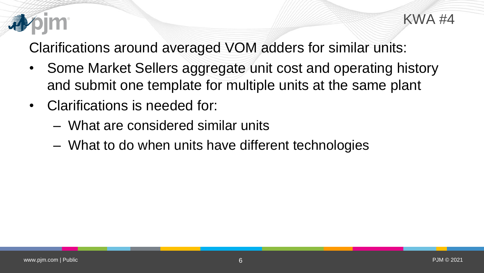

Clarifications around averaged VOM adders for similar units:

- Some Market Sellers aggregate unit cost and operating history and submit one template for multiple units at the same plant
- Clarifications is needed for:
	- What are considered similar units
	- What to do when units have different technologies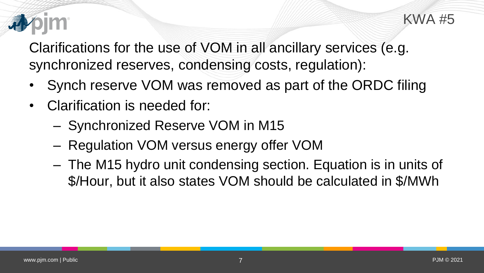

Clarifications for the use of VOM in all ancillary services (e.g. synchronized reserves, condensing costs, regulation):

- Synch reserve VOM was removed as part of the ORDC filing
- Clarification is needed for:
	- Synchronized Reserve VOM in M15
	- Regulation VOM versus energy offer VOM
	- The M15 hydro unit condensing section. Equation is in units of \$/Hour, but it also states VOM should be calculated in \$/MWh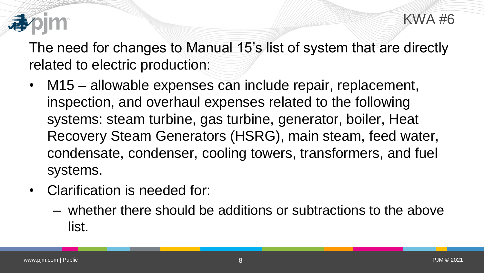

The need for changes to Manual 15's list of system that are directly related to electric production:

- M15 allowable expenses can include repair, replacement, inspection, and overhaul expenses related to the following systems: steam turbine, gas turbine, generator, boiler, Heat Recovery Steam Generators (HSRG), main steam, feed water, condensate, condenser, cooling towers, transformers, and fuel systems.
- Clarification is needed for:
	- whether there should be additions or subtractions to the above list.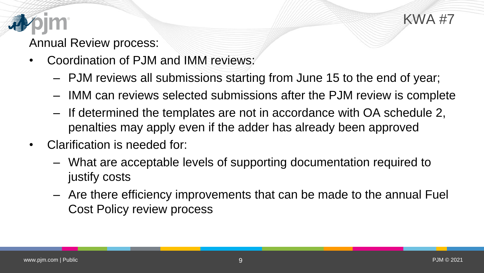

## Annual Review process:

- Coordination of PJM and IMM reviews:
	- PJM reviews all submissions starting from June 15 to the end of year;
	- IMM can reviews selected submissions after the PJM review is complete
	- If determined the templates are not in accordance with OA schedule 2, penalties may apply even if the adder has already been approved
- Clarification is needed for:
	- What are acceptable levels of supporting documentation required to justify costs
	- Are there efficiency improvements that can be made to the annual Fuel Cost Policy review process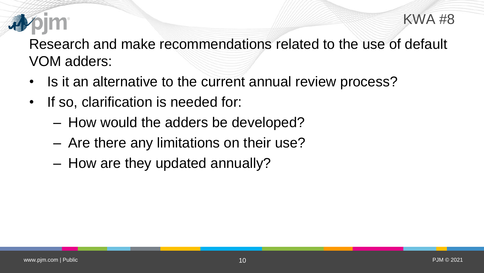Research and make recommendations related to the use of default VOM adders:

- Is it an alternative to the current annual review process?
- If so, clarification is needed for:
	- How would the adders be developed?
	- Are there any limitations on their use?
	- How are they updated annually?